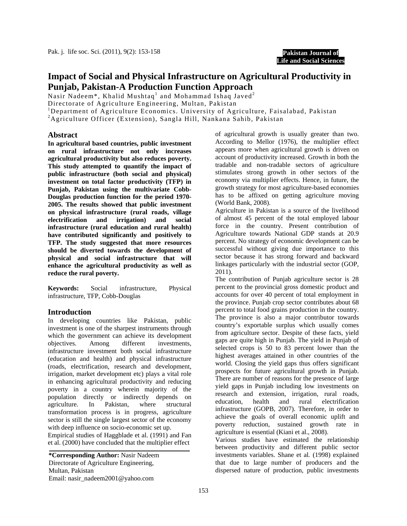#### **Pakistan Journal of Life and Social Sciences**

# **Impact of Social and Physical Infrastructure on Agricultural Productivity in Punjab, Pakistan-A Production Function Approach**

Nasir Nadeem\*, Khalid Mushtaq<sup>1</sup> and Mohammad Ishaq Javed<sup>2</sup>

Directorate of Agriculture Engineering, Multan, Pakistan

<sup>1</sup>Department of Agriculture Economics. University of Agriculture, Faisalabad, Pakistan

2 Agriculture Officer (Extension), Sangla Hill, Nankana Sahib, Pakistan

#### **Abstract**

**In agricultural based countries, public investment on rural infrastructure not only increases agricultural productivity but also reduces poverty. This study attempted to quantify the impact of public infrastructure (both social and physical) investment on total factor productivity (TFP) in Punjab, Pakistan using the multivariate Cobb-Douglas production function for the period 1970- 2005. The results showed that public investment on physical infrastructure (rural roads, village electrification and irrigation) and social infrastructure (rural education and rural health) have contributed significantly and positively to TFP. The study suggested that more resources should be diverted towards the development of physical and social infrastructure that will enhance the agricultural productivity as well as reduce the rural poverty.** 

**Keywords:** Social infrastructure, Physical infrastructure, TFP, Cobb-Douglas

## **Introduction**

In developing countries like Pakistan, public investment is one of the sharpest instruments through which the government can achieve its development objectives. Among different investments, infrastructure investment both social infrastructure (education and health) and physical infrastructure (roads, electrification, research and development, irrigation, market development etc) plays a vital role in enhancing agricultural productivity and reducing poverty in a country wherein majority of the population directly or indirectly depends on agriculture. In Pakistan, where structural transformation process is in progress, agriculture sector is still the single largest sector of the economy with deep influence on socio-economic set up.

Empirical studies of Haggblade et al. (1991) and Fan et al. (2000) have concluded that the multiplier effect

**\*Corresponding Author:** Nasir Nadeem Directorate of Agriculture Engineering, Multan, Pakistan Email: nasir\_nadeem2001@yahoo.com

of agricultural growth is usually greater than two. According to Mellor (1976), the multiplier effect appears more when agricultural growth is driven on account of productivity increased. Growth in both the tradable and non-tradable sectors of agriculture stimulates strong growth in other sectors of the economy via multiplier effects. Hence, in future, the growth strategy for most agriculture-based economies has to be affixed on getting agriculture moving (World Bank, 2008).

Agriculture in Pakistan is a source of the livelihood of almost 45 percent of the total employed labour force in the country. Present contribution of Agriculture towards National GDP stands at 20.9 percent. No strategy of economic development can be successful without giving due importance to this sector because it has strong forward and backward linkages particularly with the industrial sector (GOP, 2011).

The contribution of Punjab agriculture sector is 28 percent to the provincial gross domestic product and accounts for over 40 percent of total employment in the province. Punjab crop sector contributes about 68 percent to total food grains production in the country. The province is also a major contributor towards country's exportable surplus which usually comes from agriculture sector. Despite of these facts, yield gaps are quite high in Punjab. The yield in Punjab of selected crops is 50 to 83 percent lower than the highest averages attained in other countries of the world. Closing the yield gaps thus offers significant prospects for future agricultural growth in Punjab. There are number of reasons for the presence of large yield gaps in Punjab including low investments on research and extension, irrigation, rural roads, education, health and rural electrification infrastructure (GOPB, 2007). Therefore, in order to achieve the goals of overall economic uplift and poverty reduction, sustained growth rate in agriculture is essential (Kiani et al., 2008).

Various studies have estimated the relationship between productivity and different public sector investments variables. Shane et al*.* (1998) explained that due to large number of producers and the dispersed nature of production, public investments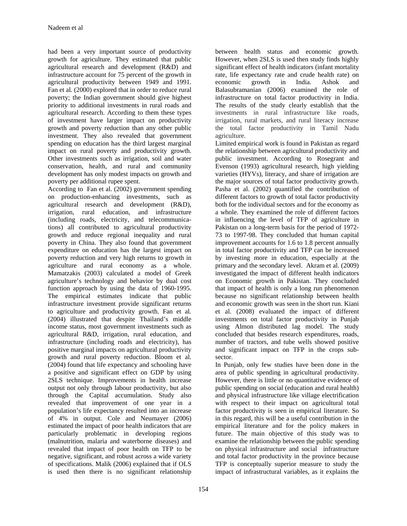had been a very important source of productivity growth for agriculture. They estimated that public agricultural research and development (R&D) and infrastructure account for 75 percent of the growth in agricultural productivity between 1949 and 1991. Fan et al.  $(2000)$  explored that in order to reduce rural poverty; the Indian government should give highest priority to additional investments in rural roads and agricultural research. According to them these types of investment have larger impact on productivity growth and poverty reduction than any other public investment. They also revealed that government spending on education has the third largest marginal impact on rural poverty and productivity growth. Other investments such as irrigation, soil and water conservation, health, and rural and community development has only modest impacts on growth and poverty per additional rupee spent.

According to Fan et al. (2002) government spending on production-enhancing investments, such as agricultural research and development (R&D), irrigation, rural education, and infrastructure (including roads, electricity, and telecommunications) all contributed to agricultural productivity growth and reduce regional inequality and rural poverty in China. They also found that government expenditure on education has the largest impact on poverty reduction and very high returns to growth in agriculture and rural economy as a whole. Mamatzakis (2003) calculated a model of Greek agriculture's technology and behavior by dual cost function approach by using the data of 1960-1995. The empirical estimates indicate that public infrastructure investment provide significant returns to agriculture and productivity growth. Fan et al*.*  (2004) illustrated that despite Thailand's middle income status, most government investments such as agricultural R&D, irrigation, rural education, and infrastructure (including roads and electricity), has positive marginal impacts on agricultural productivity growth and rural poverty reduction. Bloom et al. (2004) found that life expectancy and schooling have a positive and significant effect on GDP by using 2SLS technique. Improvements in health increase output not only through labour productivity, but also through the Capital accumulation. Study also revealed that improvement of one year in a population's life expectancy resulted into an increase of 4% in output. Cole and Neumayer (2006) estimated the impact of poor health indicators that are particularly problematic in developing regions (malnutrition, malaria and waterborne diseases) and revealed that impact of poor health on TFP to be negative, significant, and robust across a wide variety of specifications. Malik (2006) explained that if OLS is used then there is no significant relationship

between health status and economic growth. However, when 2SLS is used then study finds highly significant effect of health indicators (infant mortality rate, life expectancy rate and crude health rate) on economic growth in India. Ashok and Balasubramanian (2006) examined the role of infrastructure on total factor productivity in India. The results of the study clearly establish that the investments in rural infrastructure like roads, irrigation, rural markets, and rural literacy increase the total factor productivity in Tamil Nadu agriculture.

Limited empirical work is found in Pakistan as regard the relationship between agricultural productivity and public investment. According to Rosegrant and Evenson (1993) agricultural research, high yielding varieties (HYVs), literacy, and share of irrigation are the major sources of total factor productivity growth. Pasha et al. (2002) quantified the contribution of different factors to growth of total factor productivity both for the individual sectors and for the economy as a whole. They examined the role of different factors in influencing the level of TFP of agriculture in Pakistan on a long-term basis for the period of 1972- 73 to 1997-98. They concluded that human capital improvement accounts for 1.6 to 1.8 percent annually in total factor productivity and TFP can be increased by investing more in education, especially at the primary and the secondary level. Akram et al. (2009) investigated the impact of different health indicators on Economic growth in Pakistan. They concluded that impact of health is only a long run phenomenon because no significant relationship between health and economic growth was seen in the short run. Kiani et al. (2008) evaluated the impact of different investments on total factor productivity in Punjab using Almon distributed lag model. The study concluded that besides research expenditures, roads, number of tractors, and tube wells showed positive and significant impact on TFP in the crops subsector.

In Punjab, only few studies have been done in the area of public spending in agricultural productivity. However, there is little or no quantitative evidence of public spending on social (education and rural health) and physical infrastructure like village electrification with respect to their impact on agricultural total factor productivity is seen in empirical literature. So in this regard, this will be a useful contribution in the empirical literature and for the policy makers in future. The main objective of this study was to examine the relationship between the public spending on physical infrastructure and social infrastructure and total factor productivity in the province because TFP is conceptually superior measure to study the impact of infrastructural variables, as it explains the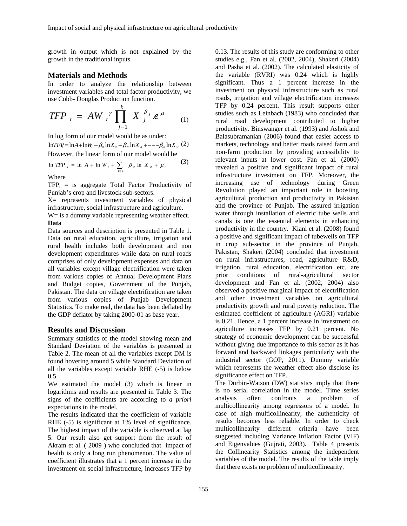growth in output which is not explained by the growth in the traditional inputs.

### **Materials and Methods**

In order to analyze the relationship between investment variables and total factor productivity, we use Cobb- Douglas Production function.

$$
TFP_{t} = AW_{t}^{\gamma} \prod_{j=1}^{k} X_{j}^{\beta_{j}} e^{\mu} \qquad (1)
$$

In log form of our model would be as under:

 $\ln TFP = \ln A + \ln W_t + \beta_t \ln X_t + \beta_2 \ln X_t + - -\beta_m \ln X_t$  (2) However, the linear form of our model would be

$$
\ln TFP_{t} = \ln A + \ln W_{t} + \sum_{i=1}^{n} \beta_{i} \ln X_{i} + \mu_{t}
$$
 (3)

Where

 $TFP_t$  = is aggregate Total Factor Productivity of Punjab's crop and livestock sub-sectors.

X= represents investment variables of physical infrastructure, social infrastructure and agriculture.

 $W = i s a$  dummy variable representing weather effect.

#### **Data**

Data sources and description is presented in Table 1. Data on rural education, agriculture, irrigation and rural health includes both development and non development expenditures while data on rural roads comprises of only development expenses and data on all variables except village electrification were taken from various copies of Annual Development Plans and Budget copies, Government of the Punjab, Pakistan. The data on village electrification are taken from various copies of Punjab Development Statistics. To make real, the data has been deflated by the GDP deflator by taking 2000-01 as base year.

#### **Results and Discussion**

Summary statistics of the model showing mean and Standard Deviation of the variables is presented in Table 2. The mean of all the variables except DM is found hovering around 5 while Standard Deviation of all the variables except variable RHE (-5) is below 0.5.

We estimated the model (3) which is linear in logarithms and results are presented in Table 3. The signs of the coefficients are according to *a priori* expectations in the model.

The results indicated that the coefficient of variable RHE  $(-5)$  is significant at 1% level of significance. The highest impact of the variable is observed at lag 5. Our result also get support from the result of Akram et al. ( 2009 ) who concluded that impact of health is only a long run phenomenon. The value of coefficient illustrates that a 1 percent increase in the investment on social infrastructure, increases TFP by

0.13. The results of this study are conforming to other studies e.g., Fan et al. (2002, 2004), Shakeri (2004) and Pasha et al. (2002). The calculated elasticity of the variable (RVRI) was 0.24 which is highly significant. Thus a 1 percent increase in the investment on physical infrastructure such as rural roads, irrigation and village electrification increases TFP by 0.24 percent. This result supports other studies such as Leinbach (1983) who concluded that rural road development contributed to higher productivity. Binswanger et al. (1993) and Ashok and Balasubramanian (2006) found that easier access to markets, technology and better roads raised farm and non-farm production by providing accessibility to relevant inputs at lower cost. Fan et al*.* (2000) revealed a positive and significant impact of rural infrastructure investment on TFP. Moreover, the increasing use of technology during Green Revolution played an important role in boosting agricultural production and productivity in Pakistan and the province of Punjab. The assured irrigation water through installation of electric tube wells and canals is one the essential elements in enhancing productivity in the country. Kiani et al. (2008) found a positive and significant impact of tubewells on TFP in crop sub-sector in the province of Punjab, Pakistan, Shakeri (2004) concluded that investment on rural infrastructures, road, agriculture R&D, irrigation, rural education, electrification etc. are prior conditions of rural-agricultural sector development and Fan et al. (2002, 2004) also observed a positive marginal impact of electrification and other investment variables on agricultural productivity growth and rural poverty reduction. The estimated coefficient of agriculture (AGRI) variable is 0.21. Hence, a 1 percent increase in investment on agriculture increases TFP by 0.21 percent. No strategy of economic development can be successful without giving due importance to this sector as it has forward and backward linkages particularly with the industrial sector (GOP, 2011). Dummy variable which represents the weather effect also disclose its significance effect on TFP.

The Durbin-Watson (DW) statistics imply that there is no serial correlation in the model. Time series analysis often confronts a problem of multicollinearity among regressors of a model. In case of high multicollinearity, the authenticity of results becomes less reliable. In order to check multicollinearity different criteria have been suggested including Variance Inflation Factor (VIF) and Eigenvalues (Gujrati, 2003). Table 4 presents the Collinearity Statistics among the independent variables of the model. The results of the table imply that there exists no problem of multicollinearity.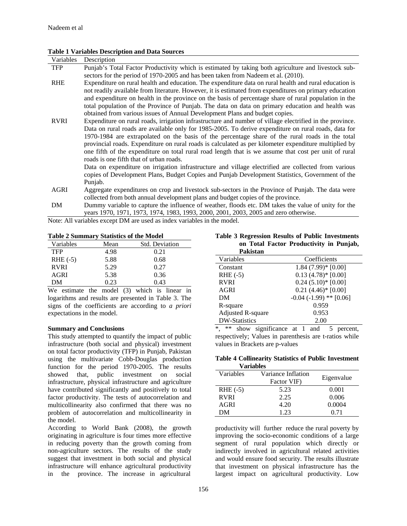#### **Table 1 Variables Description and Data Sources**

| Variables   | Description                                                                                                                                                                                                                        |
|-------------|------------------------------------------------------------------------------------------------------------------------------------------------------------------------------------------------------------------------------------|
| <b>TFP</b>  | Punjab's Total Factor Productivity which is estimated by taking both agriculture and livestock sub-                                                                                                                                |
|             | sectors for the period of 1970-2005 and has been taken from Nadeem et al. (2010).                                                                                                                                                  |
| <b>RHE</b>  | Expenditure on rural health and education. The expenditure data on rural health and rural education is                                                                                                                             |
|             | not readily available from literature. However, it is estimated from expenditures on primary education                                                                                                                             |
|             | and expenditure on health in the province on the basis of percentage share of rural population in the                                                                                                                              |
|             | total population of the Province of Punjab. The data on data on primary education and health was                                                                                                                                   |
|             | obtained from various issues of Annual Development Plans and budget copies.                                                                                                                                                        |
| <b>RVRI</b> | Expenditure on rural roads, irrigation infrastructure and number of village electrified in the province.                                                                                                                           |
|             | Data on rural roads are available only for 1985-2005. To derive expenditure on rural roads, data for                                                                                                                               |
|             | 1970-1984 are extrapolated on the basis of the percentage share of the rural roads in the total                                                                                                                                    |
|             | provincial roads. Expenditure on rural roads is calculated as per kilometer expenditure multiplied by                                                                                                                              |
|             | one fifth of the expenditure on total rural road length that is we assume that cost per unit of rural                                                                                                                              |
|             | roads is one fifth that of urban roads.                                                                                                                                                                                            |
|             | Data on expenditure on irrigation infrastructure and village electrified are collected from various                                                                                                                                |
|             | copies of Development Plans, Budget Copies and Punjab Development Statistics, Government of the                                                                                                                                    |
|             | Punjab.                                                                                                                                                                                                                            |
| AGRI        | Aggregate expenditures on crop and livestock sub-sectors in the Province of Punjab. The data were                                                                                                                                  |
|             | collected from both annual development plans and budget copies of the province.                                                                                                                                                    |
| <b>DI</b>   | . The second contract of the function of the second contract of the second contract of $\mathcal{C}$ , which is a second contract of the second contract of the second contract of the second contract of the second contract of t |

DM Dummy variable to capture the influence of weather, floods etc. DM takes the value of unity for the years 1970, 1971, 1973, 1974, 1983, 1993, 2000, 2001, 2003, 2005 and zero otherwise.

Note: All variables except DM are used as index variables in the model.

|  | <b>Table 2 Summary Statistics of the Model</b> |  |  |  |
|--|------------------------------------------------|--|--|--|
|  |                                                |  |  |  |

| Variables   | Mean | <b>Std. Deviation</b> |
|-------------|------|-----------------------|
| <b>TFP</b>  | 4.98 | 0.21                  |
| $RHE(-5)$   | 5.88 | 0.68                  |
| <b>RVRI</b> | 5.29 | 0.27                  |
| AGRI        | 5.38 | 0.36                  |
| DМ          | 0.23 | 0.43                  |

We estimate the model (3) which is linear in logarithms and results are presented in Table 3. The signs of the coefficients are according to *a priori* expectations in the model.

#### **Summary and Conclusions**

This study attempted to quantify the impact of public infrastructure (both social and physical) investment on total factor productivity (TFP) in Punjab, Pakistan using the multivariate Cobb-Douglas production function for the period 1970-2005. The results showed that, public investment on social infrastructure, physical infrastructure and agriculture have contributed significantly and positively to total factor productivity. The tests of autocorrelation and multicollinearity also confirmed that there was no problem of autocorrelation and multicollinearity in the model.

According to World Bank (2008), the growth originating in agriculture is four times more effective in reducing poverty than the growth coming from non-agriculture sectors. The results of the study suggest that investment in both social and physical infrastructure will enhance agricultural productivity in the province. The increase in agricultural

**Table 3 Regression Results of Public Investments on Total Factor Productivity in Punjab,** 

| Pakistan                 |                               |
|--------------------------|-------------------------------|
| Variables                | Coefficients                  |
| Constant                 | $1.84(7.99)*[0.00]$           |
| RHE $(-5)$               | $0.13(4.78)*[0.00]$           |
| <b>RVRI</b>              | $0.24(5.10)*[0.00]$           |
| AGRI                     | $0.21(4.46)*(0.00)$           |
| DM                       | $-0.04$ ( $-1.99$ ) ** [0.06] |
| R-square                 | 0.959                         |
| <b>Adjusted R-square</b> | 0.953                         |
| <b>DW-Statistics</b>     | 2.00                          |

\*, \*\* show significance at 1 and 5 percent, respectively; Values in parenthesis are t-ratios while values in Brackets are p-values

**Table 4 Collinearity Statistics of Public Investment Variables**

| у агтартсэ  |                                   |            |  |  |
|-------------|-----------------------------------|------------|--|--|
| Variables   | Variance Inflation<br>Factor VIF) | Eigenvalue |  |  |
| $RHE(-5)$   | 5.23                              | 0.001      |  |  |
| <b>RVRI</b> | 2.25                              | 0.006      |  |  |
| AGRI        | 4.20                              | 0.0004     |  |  |
| DМ          | 1 23                              | O 71       |  |  |

productivity will further reduce the rural poverty by improving the socio-economic conditions of a large segment of rural population which directly or indirectly involved in agricultural related activities and would ensure food security. The results illustrate that investment on physical infrastructure has the largest impact on agricultural productivity. Low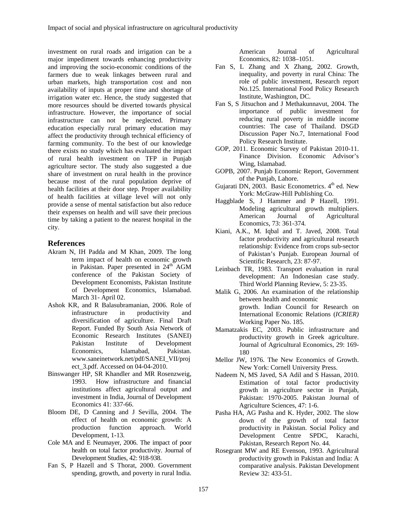investment on rural roads and irrigation can be a major impediment towards enhancing productivity and improving the socio-economic conditions of the farmers due to weak linkages between rural and urban markets, high transportation cost and non availability of inputs at proper time and shortage of irrigation water etc. Hence, the study suggested that more resources should be diverted towards physical infrastructure. However, the importance of social infrastructure can not be neglected. Primary education especially rural primary education may affect the productivity through technical efficiency of farming community. To the best of our knowledge there exists no study which has evaluated the impact of rural health investment on TFP in Punjab agriculture sector. The study also suggested a due share of investment on rural health in the province because most of the rural population deprive of health facilities at their door step. Proper availability of health facilities at village level will not only provide a sense of mental satisfaction but also reduce their expenses on health and will save their precious time by taking a patient to the nearest hospital in the city.

#### **References**

- Akram N, IH Padda and M Khan, 2009. The long term impact of health on economic growth in Pakistan. Paper presented in 24<sup>th</sup> AGM conference of the Pakistan Society of Development Economists, Pakistan Institute of Development Economics, Islamabad. March 31- April 02.
- Ashok KR, and R Balasubramanian, 2006. Role of infrastructure in productivity and diversification of agriculture. Final Draft Report. Funded By South Asia Network of Economic Research Institutes (SANEI) Pakistan Institute of Development Economics, Islamabad, Pakistan. www.saneinetwork.net/pdf/SANEI\_VII/proj ect\_3.pdf. Accessed on 04-04-2010.
- Binswanger HP, SR Khandler and MR Rosenzweig, 1993. How infrastructure and financial institutions affect agricultural output and investment in India, Journal of Development Economics 41: 337-66.
- Bloom DE, D Canning and J Sevilla, 2004. The effect of health on economic growth: A production function approach*.* World Development, 1-13*.*
- Cole MA and E Neumayer, 2006. The impact of poor health on total factor productivity. Journal of Development Studies, 42: 918-938.
- Fan S, P Hazell and S Thorat, 2000. Government spending, growth, and poverty in rural India.

American Journal of Agricultural Economics, 82: 1038–1051.

- Fan S, L Zhang and X Zhang, 2002. Growth, inequality, and poverty in rural China: The role of public investment, Research report No.125. International Food Policy Research Institute, Washington, DC.
- Fan S, S Jitsuchon and J Methakunnavut, 2004. The importance of public investment for reducing rural poverty in middle income countries: The case of Thailand. DSGD Discussion Paper No.7, International Food Policy Research Institute.
- GOP, 2011. Economic Survey of Pakistan 2010-11. Finance Division. Economic Advisor's Wing, Islamabad.
- GOPB, 2007. Punjab Economic Report, Government of the Punjab, Lahore.
- Gujarati DN, 2003. Basic Econometrics.  $4<sup>th</sup>$  ed. New York: McGraw-Hill Publishing Co.
- Haggblade S, J Hammer and P Hazell, 1991. Modeling agricultural growth multipliers. American Journal of Agricultural Economics, 73: 361-374*.*
- Kiani, A.K., M. Iqbal and T. Javed, 2008. Total factor productivity and agricultural research relationship: Evidence from crops sub-sector of Pakistan's Punjab. European Journal of Scientific Research, 23: 87-97.
- Leinbach TR, 1983. Transport evaluation in rural development: An Indonesian case study. Third World Planning Review, 5: 23-35.
- Malik G, 2006. An examination of the relationship between health and economic growth. Indian Council for Research on International Economic Relations (*ICRIER)*  Working Paper No. 185.
- Mamatzakis EC, 2003. Public infrastructure and productivity growth in Greek agriculture. Journal of Agricultural Economics, 29: 169- 180
- Mellor JW, 1976. The New Economics of Growth. New York: Cornell University Press.
- Nadeem N, MS Javed, SA Adil and S Hassan, 2010. Estimation of total factor productivity growth in agriculture sector in Punjab, Pakistan: 1970-2005. Pakistan Journal of Agriculture Sciences, 47: 1-6.
- Pasha HA, AG Pasha and K. Hyder, 2002. The slow down of the growth of total factor productivity in Pakistan. Social Policy and Development Centre SPDC, Karachi, Pakistan, Research Report No. 44.
- Rosegrant MW and RE Evenson, 1993. Agricultural productivity growth in Pakistan and India: A comparative analysis. Pakistan Development Review 32: 433-51.